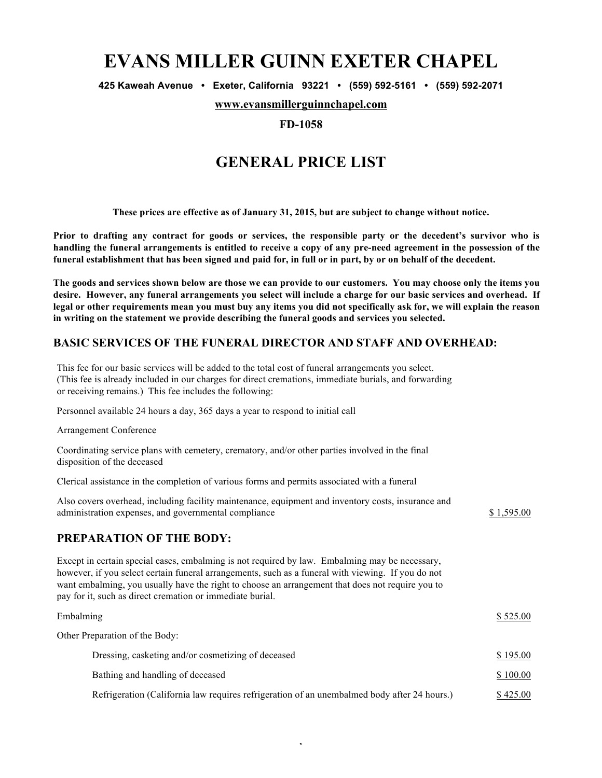# **EVANS MILLER GUINN EXETER CHAPEL**

**425 Kaweah Avenue • Exeter, California 93221 • (559) 592-5161 • (559) 592-2071**

**www.evansmillerguinnchapel.com**

### **FD-1058**

# **GENERAL PRICE LIST**

**These prices are effective as of January 31, 2015, but are subject to change without notice.**

**Prior to drafting any contract for goods or services, the responsible party or the decedent's survivor who is handling the funeral arrangements is entitled to receive a copy of any pre-need agreement in the possession of the funeral establishment that has been signed and paid for, in full or in part, by or on behalf of the decedent.**

**The goods and services shown below are those we can provide to our customers. You may choose only the items you desire. However, any funeral arrangements you select will include a charge for our basic services and overhead. If legal or other requirements mean you must buy any items you did not specifically ask for, we will explain the reason in writing on the statement we provide describing the funeral goods and services you selected.**

### **BASIC SERVICES OF THE FUNERAL DIRECTOR AND STAFF AND OVERHEAD:**

This fee for our basic services will be added to the total cost of funeral arrangements you select. (This fee is already included in our charges for direct cremations, immediate burials, and forwarding or receiving remains.) This fee includes the following:

Personnel available 24 hours a day, 365 days a year to respond to initial call

Arrangement Conference

Coordinating service plans with cemetery, crematory, and/or other parties involved in the final disposition of the deceased

Clerical assistance in the completion of various forms and permits associated with a funeral

| Also covers overhead, including facility maintenance, equipment and inventory costs, insurance and<br>administration expenses, and governmental compliance                                                                                                                                                                                                            | \$1,595.00 |
|-----------------------------------------------------------------------------------------------------------------------------------------------------------------------------------------------------------------------------------------------------------------------------------------------------------------------------------------------------------------------|------------|
| <b>PREPARATION OF THE BODY:</b>                                                                                                                                                                                                                                                                                                                                       |            |
| Except in certain special cases, embalming is not required by law. Embalming may be necessary,<br>however, if you select certain funeral arrangements, such as a funeral with viewing. If you do not<br>want embalming, you usually have the right to choose an arrangement that does not require you to<br>pay for it, such as direct cremation or immediate burial. |            |
| Embalming                                                                                                                                                                                                                                                                                                                                                             | \$525.00   |
| Other Preparation of the Body:                                                                                                                                                                                                                                                                                                                                        |            |
| Dressing, casketing and/or cosmetizing of deceased                                                                                                                                                                                                                                                                                                                    | \$195.00   |
| Bathing and handling of deceased                                                                                                                                                                                                                                                                                                                                      | \$100.00   |

Refrigeration (California law requires refrigeration of an unembalmed body after 24 hours.) \$ 425.00

1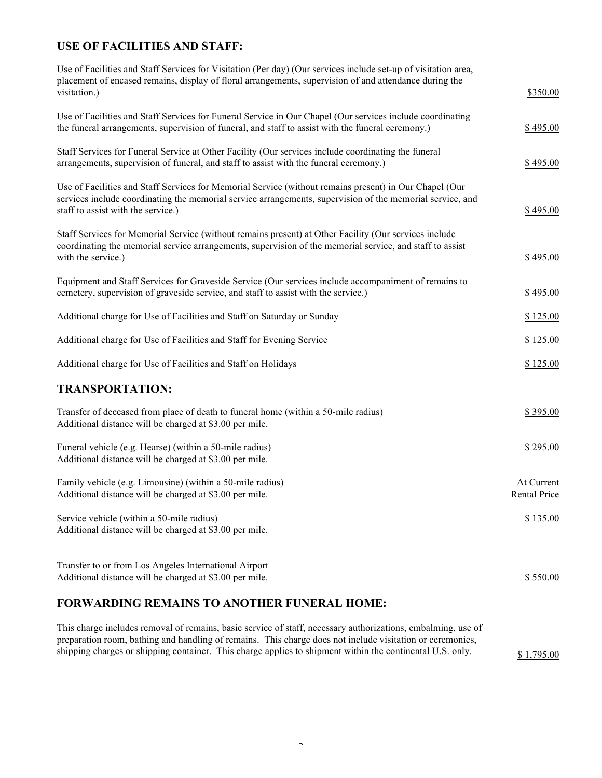# **USE OF FACILITIES AND STAFF:**

| Use of Facilities and Staff Services for Visitation (Per day) (Our services include set-up of visitation area,<br>placement of encased remains, display of floral arrangements, supervision of and attendance during the<br>visitation.)                  | \$350.00                          |
|-----------------------------------------------------------------------------------------------------------------------------------------------------------------------------------------------------------------------------------------------------------|-----------------------------------|
| Use of Facilities and Staff Services for Funeral Service in Our Chapel (Our services include coordinating<br>the funeral arrangements, supervision of funeral, and staff to assist with the funeral ceremony.)                                            | \$495.00                          |
| Staff Services for Funeral Service at Other Facility (Our services include coordinating the funeral<br>arrangements, supervision of funeral, and staff to assist with the funeral ceremony.)                                                              | \$495.00                          |
| Use of Facilities and Staff Services for Memorial Service (without remains present) in Our Chapel (Our<br>services include coordinating the memorial service arrangements, supervision of the memorial service, and<br>staff to assist with the service.) | \$495.00                          |
| Staff Services for Memorial Service (without remains present) at Other Facility (Our services include<br>coordinating the memorial service arrangements, supervision of the memorial service, and staff to assist<br>with the service.)                   | \$495.00                          |
| Equipment and Staff Services for Graveside Service (Our services include accompaniment of remains to<br>cemetery, supervision of graveside service, and staff to assist with the service.)                                                                | \$495.00                          |
| Additional charge for Use of Facilities and Staff on Saturday or Sunday                                                                                                                                                                                   | \$125.00                          |
| Additional charge for Use of Facilities and Staff for Evening Service                                                                                                                                                                                     | \$125.00                          |
| Additional charge for Use of Facilities and Staff on Holidays                                                                                                                                                                                             | \$125.00                          |
| <b>TRANSPORTATION:</b>                                                                                                                                                                                                                                    |                                   |
| Transfer of deceased from place of death to funeral home (within a 50-mile radius)<br>Additional distance will be charged at \$3.00 per mile.                                                                                                             | \$395.00                          |
| Funeral vehicle (e.g. Hearse) (within a 50-mile radius)<br>Additional distance will be charged at \$3.00 per mile.                                                                                                                                        | \$295.00                          |
| Family vehicle (e.g. Limousine) (within a 50-mile radius)<br>Additional distance will be charged at \$3.00 per mile.                                                                                                                                      | At Current<br><b>Rental Price</b> |
| Service vehicle (within a 50-mile radius)<br>Additional distance will be charged at \$3.00 per mile.                                                                                                                                                      | \$135.00                          |
| Transfer to or from Los Angeles International Airport<br>Additional distance will be charged at \$3.00 per mile.                                                                                                                                          | \$550.00                          |

## **FORWARDING REMAINS TO ANOTHER FUNERAL HOME:**

This charge includes removal of remains, basic service of staff, necessary authorizations, embalming, use of preparation room, bathing and handling of remains. This charge does not include visitation or ceremonies, shipping charges or shipping container. This charge applies to shipment within the continental U.S. only. \$ 1,795.00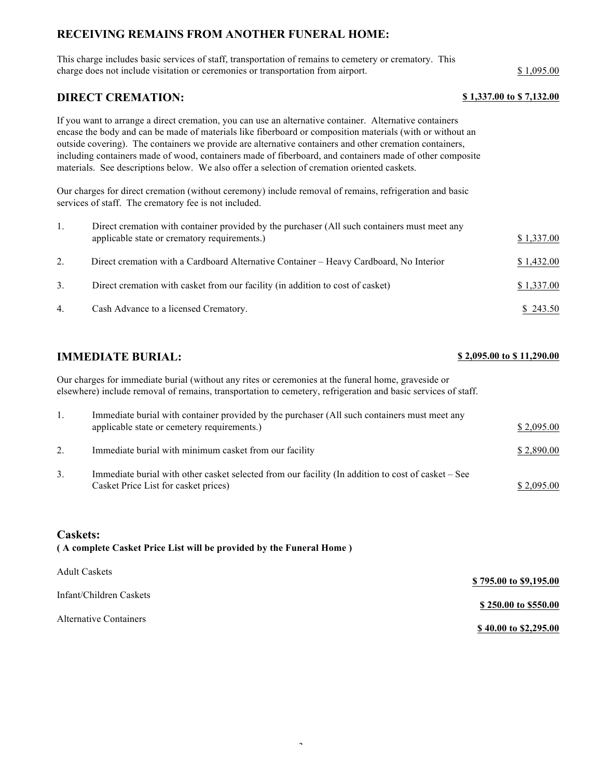## **RECEIVING REMAINS FROM ANOTHER FUNERAL HOME:**

This charge includes basic services of staff, transportation of remains to cemetery or crematory. This charge does not include visitation or ceremonies or transportation from airport. \$ 1,095.00

### **DIRECT CREMATION: \$ 1,337.00 to \$ 7,132.00**

If you want to arrange a direct cremation, you can use an alternative container. Alternative containers encase the body and can be made of materials like fiberboard or composition materials (with or without an outside covering). The containers we provide are alternative containers and other cremation containers, including containers made of wood, containers made of fiberboard, and containers made of other composite materials. See descriptions below. We also offer a selection of cremation oriented caskets.

Our charges for direct cremation (without ceremony) include removal of remains, refrigeration and basic services of staff. The crematory fee is not included.

|    | Direct cremation with container provided by the purchaser (All such containers must meet any<br>applicable state or crematory requirements.) | \$1,337.00 |
|----|----------------------------------------------------------------------------------------------------------------------------------------------|------------|
| 2. | Direct cremation with a Cardboard Alternative Container – Heavy Cardboard, No Interior                                                       | \$1,432.00 |
| 3. | Direct cremation with casket from our facility (in addition to cost of casket)                                                               | \$1,337.00 |
| 4. | Cash Advance to a licensed Crematory.                                                                                                        | \$243.50   |

## **IMMEDIATE BURIAL:**  $$2,095.00 \text{ to } $11,290.00$

Our charges for immediate burial (without any rites or ceremonies at the funeral home, graveside or elsewhere) include removal of remains, transportation to cemetery, refrigeration and basic services of staff.

|    | Immediate burial with container provided by the purchaser (All such containers must meet any<br>applicable state or cemetery requirements.) | \$2,095.00 |
|----|---------------------------------------------------------------------------------------------------------------------------------------------|------------|
| 2. | Immediate burial with minimum casket from our facility                                                                                      | \$2,890.00 |
| 3. | Immediate burial with other casket selected from our facility (In addition to cost of casket – See<br>Casket Price List for casket prices)  | \$2,095.00 |

### **Caskets: ( A complete Casket Price List will be provided by the Funeral Home )**

| <b>Adult Caskets</b>    | \$795.00 to \$9,195.00 |
|-------------------------|------------------------|
| Infant/Children Caskets |                        |
| Alternative Containers  | \$250.00 to \$550.00   |
|                         | \$40.00 to \$2,295.00  |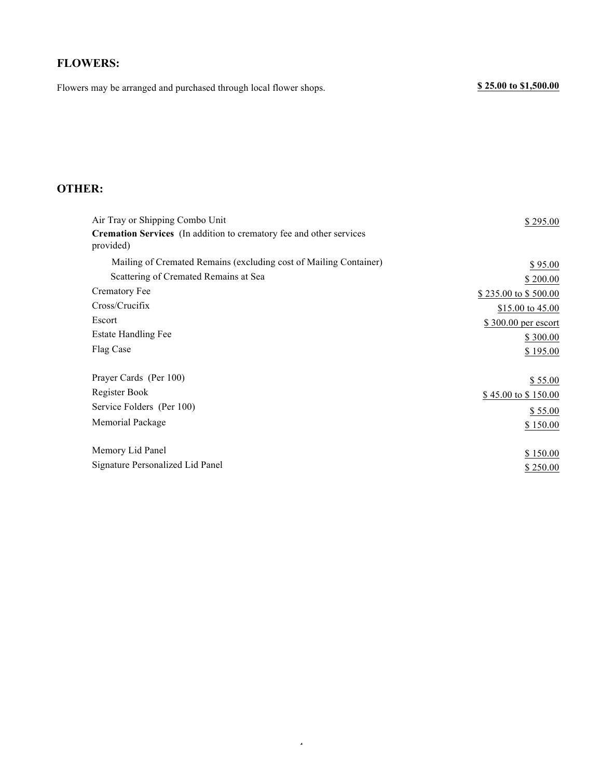# **FLOWERS:**

Flowers may be arranged and purchased through local flower shops. **\$ 25.00 to \$1,500.00** 

# **OTHER:**

| Air Tray or Shipping Combo Unit                                                         | \$295.00             |
|-----------------------------------------------------------------------------------------|----------------------|
| <b>Cremation Services</b> (In addition to crematory fee and other services<br>provided) |                      |
| Mailing of Cremated Remains (excluding cost of Mailing Container)                       | \$95.00              |
| Scattering of Cremated Remains at Sea                                                   | \$200.00             |
| Crematory Fee                                                                           | \$235.00 to \$500.00 |
| Cross/Crucifix                                                                          | \$15.00 to 45.00     |
| Escort                                                                                  | \$300.00 per escort  |
| <b>Estate Handling Fee</b>                                                              | \$300.00             |
| Flag Case                                                                               | \$195.00             |
| Prayer Cards (Per 100)                                                                  | \$55.00              |
| Register Book                                                                           | \$45.00 to \$150.00  |
| Service Folders (Per 100)                                                               | \$55.00              |
| Memorial Package                                                                        | \$150.00             |
| Memory Lid Panel                                                                        | \$150.00             |
| Signature Personalized Lid Panel                                                        | \$250.00             |

4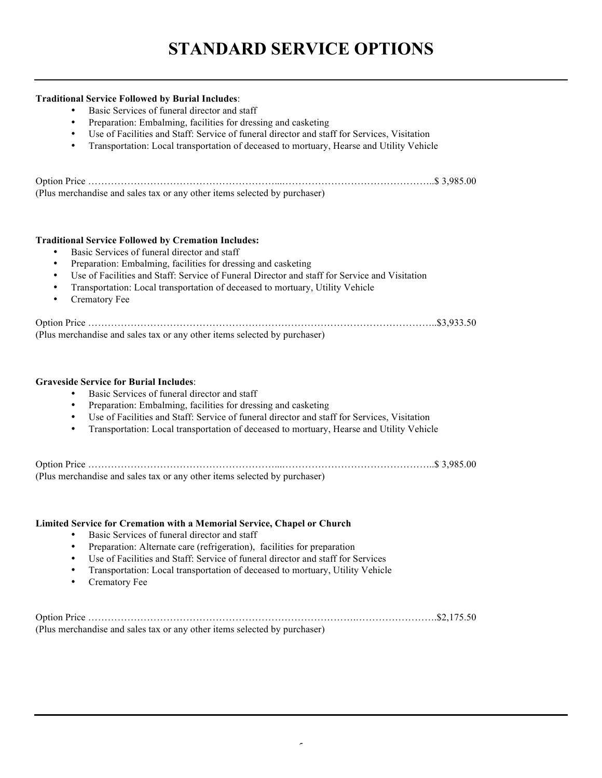### **Traditional Service Followed by Burial Includes**:

- Basic Services of funeral director and staff
- Preparation: Embalming, facilities for dressing and casketing
- Use of Facilities and Staff: Service of funeral director and staff for Services, Visitation
- Transportation: Local transportation of deceased to mortuary, Hearse and Utility Vehicle

| (Plus merchandise and sales tax or any other items selected by purchaser) |  |
|---------------------------------------------------------------------------|--|

### **Traditional Service Followed by Cremation Includes:**

- Basic Services of funeral director and staff
- Preparation: Embalming, facilities for dressing and casketing
- Use of Facilities and Staff: Service of Funeral Director and staff for Service and Visitation
- Transportation: Local transportation of deceased to mortuary, Utility Vehicle
- Crematory Fee

| (Plus merchandise and sales tax or any other items selected by purchaser) |  |
|---------------------------------------------------------------------------|--|

### **Graveside Service for Burial Includes**:

- Basic Services of funeral director and staff
- Preparation: Embalming, facilities for dressing and casketing
- Use of Facilities and Staff: Service of funeral director and staff for Services, Visitation
- Transportation: Local transportation of deceased to mortuary, Hearse and Utility Vehicle

Option Price …………………………………………………...………………………………………..\$ 3,985.00 (Plus merchandise and sales tax or any other items selected by purchaser)

### **Limited Service for Cremation with a Memorial Service, Chapel or Church**

- Basic Services of funeral director and staff
- Preparation: Alternate care (refrigeration), facilities for preparation
- Use of Facilities and Staff: Service of funeral director and staff for Services
- Transportation: Local transportation of deceased to mortuary, Utility Vehicle
- Crematory Fee

Option Price ……………………………………………………………………….…………………….\$2,175.50 (Plus merchandise and sales tax or any other items selected by purchaser)